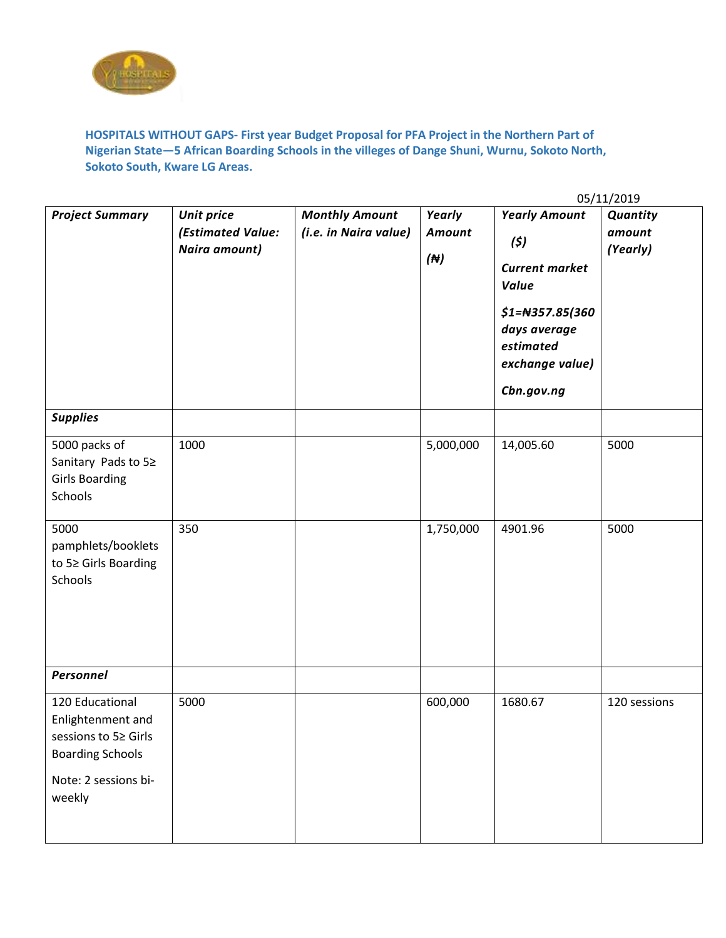

**HOSPITALS WITHOUT GAPS- First year Budget Proposal for PFA Project in the Northern Part of Nigerian State—5 African Boarding Schools in the villeges of Dange Shuni, Wurnu, Sokoto North, Sokoto South, Kware LG Areas.**

|                                                                                                                           | 05/11/2019                                              |                                                |                                        |                                                                                                                                                         |                                |  |  |
|---------------------------------------------------------------------------------------------------------------------------|---------------------------------------------------------|------------------------------------------------|----------------------------------------|---------------------------------------------------------------------------------------------------------------------------------------------------------|--------------------------------|--|--|
| <b>Project Summary</b>                                                                                                    | <b>Unit price</b><br>(Estimated Value:<br>Naira amount) | <b>Monthly Amount</b><br>(i.e. in Naira value) | Yearly<br><b>Amount</b><br>$(\forall)$ | <b>Yearly Amount</b><br>(5)<br><b>Current market</b><br><b>Value</b><br>$$1=$ #357.85(360<br>days average<br>estimated<br>exchange value)<br>Cbn.gov.ng | Quantity<br>amount<br>(Yearly) |  |  |
| <b>Supplies</b>                                                                                                           |                                                         |                                                |                                        |                                                                                                                                                         |                                |  |  |
| 5000 packs of<br>Sanitary Pads to 5≥<br><b>Girls Boarding</b><br>Schools                                                  | 1000                                                    |                                                | 5,000,000                              | 14,005.60                                                                                                                                               | 5000                           |  |  |
| 5000<br>pamphlets/booklets<br>to 5≥ Girls Boarding<br>Schools                                                             | 350                                                     |                                                | 1,750,000                              | 4901.96                                                                                                                                                 | 5000                           |  |  |
| Personnel                                                                                                                 |                                                         |                                                |                                        |                                                                                                                                                         |                                |  |  |
| 120 Educational<br>Enlightenment and<br>sessions to 5≥ Girls<br><b>Boarding Schools</b><br>Note: 2 sessions bi-<br>weekly | 5000                                                    |                                                | 600,000                                | 1680.67                                                                                                                                                 | 120 sessions                   |  |  |